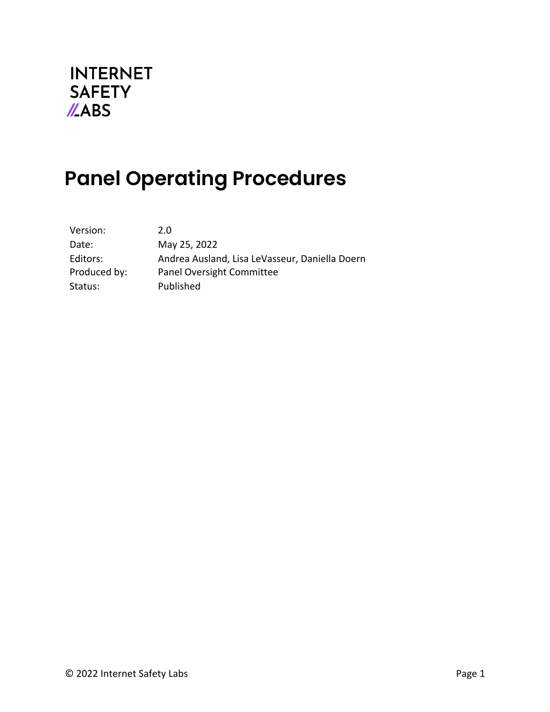

# **Panel Operating Procedures**

| Version:     | 2.0                                            |
|--------------|------------------------------------------------|
| Date:        | May 25, 2022                                   |
| Editors:     | Andrea Ausland, Lisa LeVasseur, Daniella Doern |
| Produced by: | Panel Oversight Committee                      |
| Status:      | Published                                      |
|              |                                                |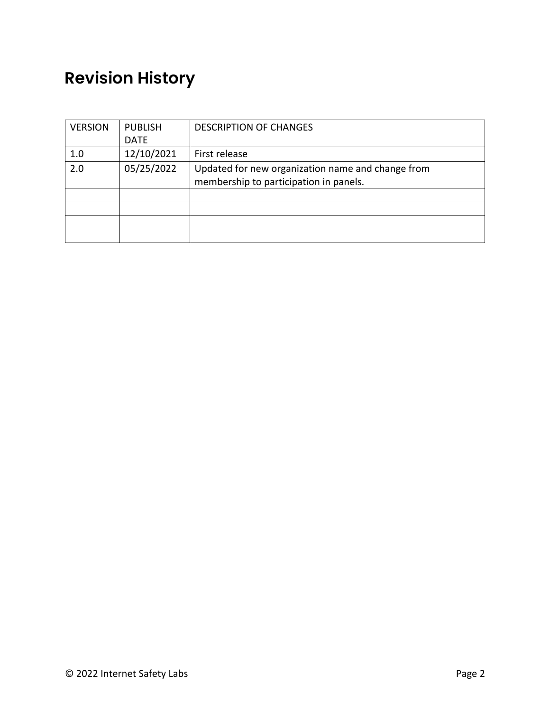## **Revision History**

| <b>VERSION</b> | <b>PUBLISH</b> | <b>DESCRIPTION OF CHANGES</b>                     |  |
|----------------|----------------|---------------------------------------------------|--|
|                | <b>DATE</b>    |                                                   |  |
| 1.0            | 12/10/2021     | First release                                     |  |
| 2.0            | 05/25/2022     | Updated for new organization name and change from |  |
|                |                | membership to participation in panels.            |  |
|                |                |                                                   |  |
|                |                |                                                   |  |
|                |                |                                                   |  |
|                |                |                                                   |  |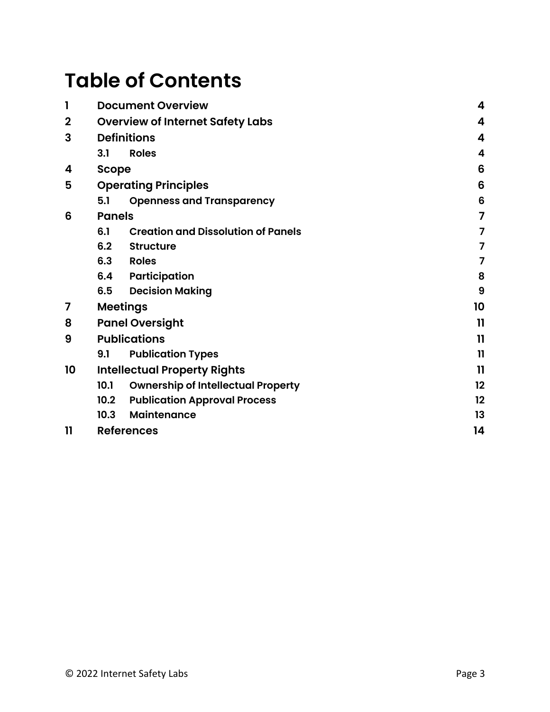# **Table of Contents**

| 1           | <b>Document Overview</b>            | 4                                         |                         |  |  |
|-------------|-------------------------------------|-------------------------------------------|-------------------------|--|--|
| $\mathbf 2$ |                                     | <b>Overview of Internet Safety Labs</b>   |                         |  |  |
| 3           | <b>Definitions</b>                  |                                           | 4                       |  |  |
|             | <b>Roles</b><br>3.1                 |                                           | $\overline{\mathbf{4}}$ |  |  |
| 4           |                                     | <b>Scope</b>                              |                         |  |  |
| 5           | <b>Operating Principles</b>         | 6                                         |                         |  |  |
|             | 5.1                                 | <b>Openness and Transparency</b>          | 6                       |  |  |
| 6           | <b>Panels</b>                       |                                           | 7                       |  |  |
|             | 6.1                                 | <b>Creation and Dissolution of Panels</b> | 7                       |  |  |
|             | 6.2                                 | <b>Structure</b>                          | $\overline{7}$          |  |  |
|             | 6.3                                 | <b>Roles</b>                              | 7                       |  |  |
|             | 6.4                                 | Participation                             | 8                       |  |  |
|             | 6.5                                 | <b>Decision Making</b>                    | 9                       |  |  |
| 7           | <b>Meetings</b>                     |                                           |                         |  |  |
| 8           | <b>Panel Oversight</b>              |                                           |                         |  |  |
| 9           | <b>Publications</b>                 |                                           | 11                      |  |  |
|             | 9.1                                 | <b>Publication Types</b>                  | $\mathbf{1}$            |  |  |
| 10          | <b>Intellectual Property Rights</b> |                                           | $\mathbf{1}$            |  |  |
|             | 10.1                                | <b>Ownership of Intellectual Property</b> | 12                      |  |  |
|             | 10.2 <sub>2</sub>                   | <b>Publication Approval Process</b>       | 12                      |  |  |
|             | 10.3                                | <b>Maintenance</b>                        | 13                      |  |  |
| 11          | <b>References</b>                   |                                           | 14                      |  |  |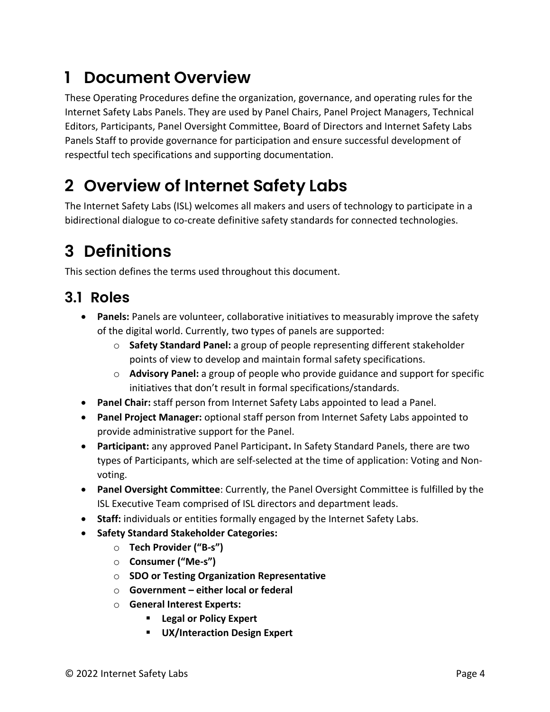## **1 Document Overview**

These Operating Procedures define the organization, governance, and operating rules for the Internet Safety Labs Panels. They are used by Panel Chairs, Panel Project Managers, Technical Editors, Participants, Panel Oversight Committee, Board of Directors and Internet Safety Labs Panels Staff to provide governance for participation and ensure successful development of respectful tech specifications and supporting documentation.

## **2 Overview of Internet Safety Labs**

The Internet Safety Labs (ISL) welcomes all makers and users of technology to participate in a bidirectional dialogue to co-create definitive safety standards for connected technologies.

## **3 Definitions**

This section defines the terms used throughout this document.

### **3.1 Roles**

- **Panels:** Panels are volunteer, collaborative initiatives to measurably improve the safety of the digital world. Currently, two types of panels are supported:
	- o **Safety Standard Panel:** a group of people representing different stakeholder points of view to develop and maintain formal safety specifications.
	- o **Advisory Panel:** a group of people who provide guidance and support for specific initiatives that don't result in formal specifications/standards.
- **Panel Chair:** staff person from Internet Safety Labs appointed to lead a Panel.
- **Panel Project Manager:** optional staff person from Internet Safety Labs appointed to provide administrative support for the Panel.
- **Participant:** any approved Panel Participant**.** In Safety Standard Panels, there are two types of Participants, which are self-selected at the time of application: Voting and Nonvoting.
- **Panel Oversight Committee**: Currently, the Panel Oversight Committee is fulfilled by the ISL Executive Team comprised of ISL directors and department leads.
- **Staff:** individuals or entities formally engaged by the Internet Safety Labs.
- **Safety Standard Stakeholder Categories:**
	- o **Tech Provider ("B-s")**
	- o **Consumer ("Me-s")**
	- o **SDO or Testing Organization Representative**
	- o **Government – either local or federal**
	- o **General Interest Experts:** 
		- § **Legal or Policy Expert**
		- § **UX/Interaction Design Expert**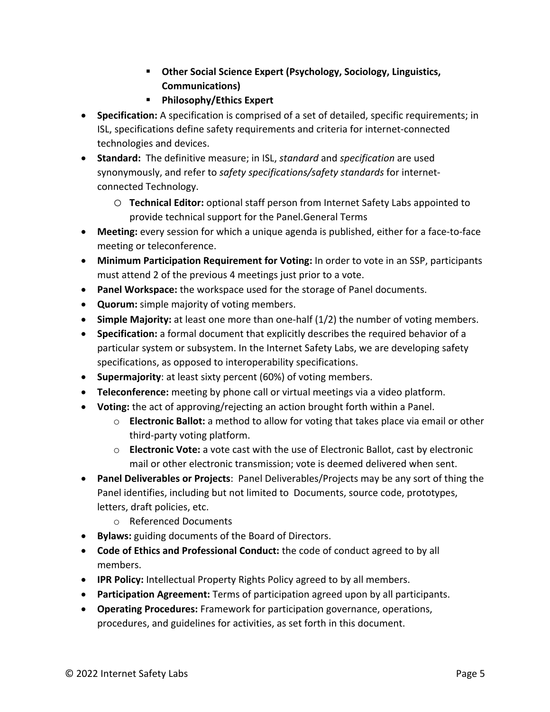- § **Other Social Science Expert (Psychology, Sociology, Linguistics, Communications)**
- § **Philosophy/Ethics Expert**
- **Specification:** A specification is comprised of a set of detailed, specific requirements; in ISL, specifications define safety requirements and criteria for internet-connected technologies and devices.
- **Standard:** The definitive measure; in ISL, *standard* and *specification* are used synonymously, and refer to *safety specifications/safety standards* for internetconnected Technology.
	- o **Technical Editor:** optional staff person from Internet Safety Labs appointed to provide technical support for the Panel.General Terms
- **Meeting:** every session for which a unique agenda is published, either for a face-to-face meeting or teleconference.
- **Minimum Participation Requirement for Voting:** In order to vote in an SSP, participants must attend 2 of the previous 4 meetings just prior to a vote.
- **Panel Workspace:** the workspace used for the storage of Panel documents.
- **Quorum:** simple majority of voting members.
- **Simple Majority:** at least one more than one-half (1/2) the number of voting members.
- **Specification:** a formal document that explicitly describes the required behavior of a particular system or subsystem. In the Internet Safety Labs, we are developing safety specifications, as opposed to interoperability specifications.
- **Supermajority**: at least sixty percent (60%) of voting members.
- **Teleconference:** meeting by phone call or virtual meetings via a video platform.
- **Voting:** the act of approving/rejecting an action brought forth within a Panel.
	- o **Electronic Ballot:** a method to allow for voting that takes place via email or other third-party voting platform.
	- o **Electronic Vote:** a vote cast with the use of Electronic Ballot, cast by electronic mail or other electronic transmission; vote is deemed delivered when sent.
- **Panel Deliverables or Projects**: Panel Deliverables/Projects may be any sort of thing the Panel identifies, including but not limited to Documents, source code, prototypes, letters, draft policies, etc.
	- o Referenced Documents
- **Bylaws:** guiding documents of the Board of Directors.
- **Code of Ethics and Professional Conduct:** the code of conduct agreed to by all members.
- **IPR Policy:** Intellectual Property Rights Policy agreed to by all members.
- **Participation Agreement:** Terms of participation agreed upon by all participants.
- **Operating Procedures:** Framework for participation governance, operations, procedures, and guidelines for activities, as set forth in this document.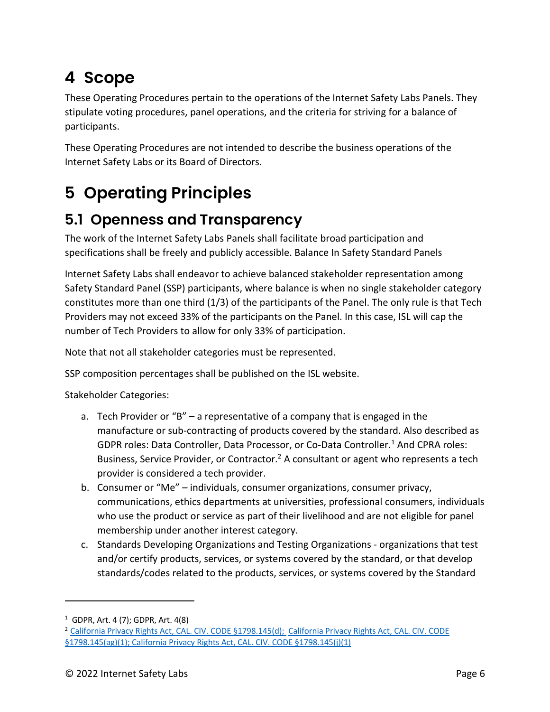## **4 Scope**

These Operating Procedures pertain to the operations of the Internet Safety Labs Panels. They stipulate voting procedures, panel operations, and the criteria for striving for a balance of participants.

These Operating Procedures are not intended to describe the business operations of the Internet Safety Labs or its Board of Directors.

## **5 Operating Principles**

### **5.1 Openness and Transparency**

The work of the Internet Safety Labs Panels shall facilitate broad participation and specifications shall be freely and publicly accessible. Balance In Safety Standard Panels

Internet Safety Labs shall endeavor to achieve balanced stakeholder representation among Safety Standard Panel (SSP) participants, where balance is when no single stakeholder category constitutes more than one third (1/3) of the participants of the Panel. The only rule is that Tech Providers may not exceed 33% of the participants on the Panel. In this case, ISL will cap the number of Tech Providers to allow for only 33% of participation.

Note that not all stakeholder categories must be represented.

SSP composition percentages shall be published on the ISL website.

Stakeholder Categories:

- a. Tech Provider or "B" a representative of a company that is engaged in the manufacture or sub-contracting of products covered by the standard. Also described as GDPR roles: Data Controller, Data Processor, or Co-Data Controller. <sup>1</sup> And CPRA roles: Business, Service Provider, or Contractor.<sup>2</sup> A consultant or agent who represents a tech provider is considered a tech provider.
- b. Consumer or "Me" individuals, consumer organizations, consumer privacy, communications, ethics departments at universities, professional consumers, individuals who use the product or service as part of their livelihood and are not eligible for panel membership under another interest category.
- c. Standards Developing Organizations and Testing Organizations organizations that test and/or certify products, services, or systems covered by the standard, or that develop standards/codes related to the products, services, or systems covered by the Standard

<sup>1</sup> GDPR, Art. 4 (7); GDPR, Art. 4(8)

<sup>2</sup> California Privacy Rights Act, CAL. CIV. CODE §1798.145(d); California Privacy Rights Act, CAL. CIV. CODE §1798.145(ag)(1); California Privacy Rights Act, CAL. CIV. CODE §1798.145(j)(1)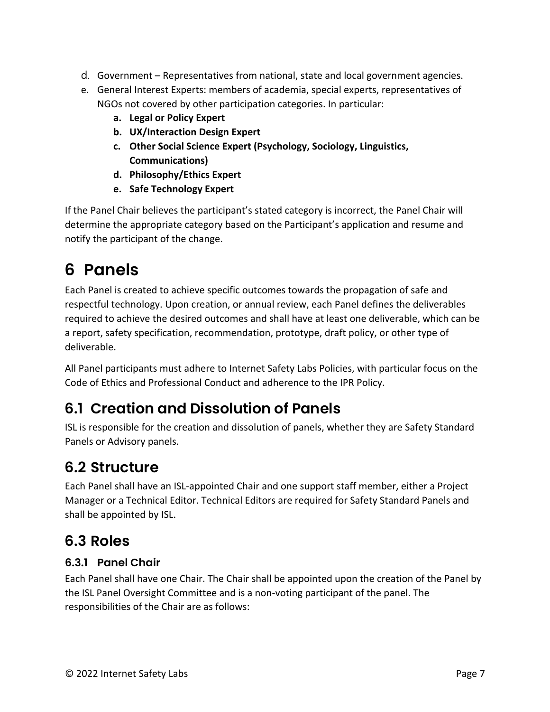- d. Government Representatives from national, state and local government agencies.
- e. General Interest Experts: members of academia, special experts, representatives of NGOs not covered by other participation categories. In particular:
	- **a. Legal or Policy Expert**
	- **b. UX/Interaction Design Expert**
	- **c. Other Social Science Expert (Psychology, Sociology, Linguistics, Communications)**
	- **d. Philosophy/Ethics Expert**
	- **e. Safe Technology Expert**

If the Panel Chair believes the participant's stated category is incorrect, the Panel Chair will determine the appropriate category based on the Participant's application and resume and notify the participant of the change.

## **6 Panels**

Each Panel is created to achieve specific outcomes towards the propagation of safe and respectful technology. Upon creation, or annual review, each Panel defines the deliverables required to achieve the desired outcomes and shall have at least one deliverable, which can be a report, safety specification, recommendation, prototype, draft policy, or other type of deliverable.

All Panel participants must adhere to Internet Safety Labs Policies, with particular focus on the Code of Ethics and Professional Conduct and adherence to the IPR Policy.

### **6.1 Creation and Dissolution of Panels**

ISL is responsible for the creation and dissolution of panels, whether they are Safety Standard Panels or Advisory panels.

### **6.2 Structure**

Each Panel shall have an ISL-appointed Chair and one support staff member, either a Project Manager or a Technical Editor. Technical Editors are required for Safety Standard Panels and shall be appointed by ISL.

### **6.3 Roles**

### **6.3.1 Panel Chair**

Each Panel shall have one Chair. The Chair shall be appointed upon the creation of the Panel by the ISL Panel Oversight Committee and is a non-voting participant of the panel. The responsibilities of the Chair are as follows: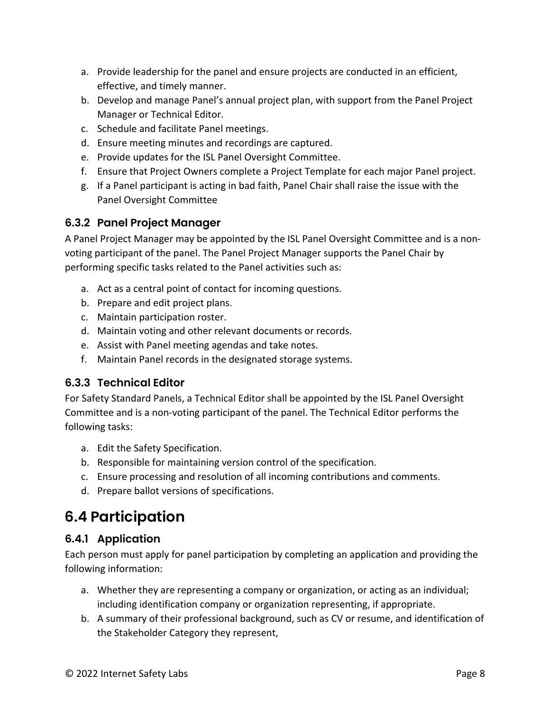- a. Provide leadership for the panel and ensure projects are conducted in an efficient, effective, and timely manner.
- b. Develop and manage Panel's annual project plan, with support from the Panel Project Manager or Technical Editor.
- c. Schedule and facilitate Panel meetings.
- d. Ensure meeting minutes and recordings are captured.
- e. Provide updates for the ISL Panel Oversight Committee.
- f. Ensure that Project Owners complete a Project Template for each major Panel project.
- g. If a Panel participant is acting in bad faith, Panel Chair shall raise the issue with the Panel Oversight Committee

### **6.3.2 Panel Project Manager**

A Panel Project Manager may be appointed by the ISL Panel Oversight Committee and is a nonvoting participant of the panel. The Panel Project Manager supports the Panel Chair by performing specific tasks related to the Panel activities such as:

- a. Act as a central point of contact for incoming questions.
- b. Prepare and edit project plans.
- c. Maintain participation roster.
- d. Maintain voting and other relevant documents or records.
- e. Assist with Panel meeting agendas and take notes.
- f. Maintain Panel records in the designated storage systems.

### **6.3.3 Technical Editor**

For Safety Standard Panels, a Technical Editor shall be appointed by the ISL Panel Oversight Committee and is a non-voting participant of the panel. The Technical Editor performs the following tasks:

- a. Edit the Safety Specification.
- b. Responsible for maintaining version control of the specification.
- c. Ensure processing and resolution of all incoming contributions and comments.
- d. Prepare ballot versions of specifications.

## **6.4 Participation**

### **6.4.1 Application**

Each person must apply for panel participation by completing an application and providing the following information:

- a. Whether they are representing a company or organization, or acting as an individual; including identification company or organization representing, if appropriate.
- b. A summary of their professional background, such as CV or resume, and identification of the Stakeholder Category they represent,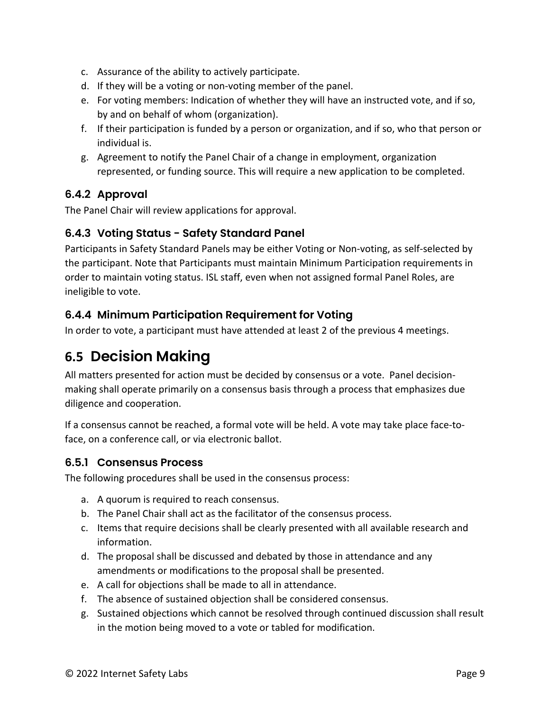- c. Assurance of the ability to actively participate.
- d. If they will be a voting or non-voting member of the panel.
- e. For voting members: Indication of whether they will have an instructed vote, and if so, by and on behalf of whom (organization).
- f. If their participation is funded by a person or organization, and if so, who that person or individual is.
- g. Agreement to notify the Panel Chair of a change in employment, organization represented, or funding source. This will require a new application to be completed.

### **6.4.2 Approval**

The Panel Chair will review applications for approval.

### **6.4.3 Voting Status - Safety Standard Panel**

Participants in Safety Standard Panels may be either Voting or Non-voting, as self-selected by the participant. Note that Participants must maintain Minimum Participation requirements in order to maintain voting status. ISL staff, even when not assigned formal Panel Roles, are ineligible to vote.

### **6.4.4 Minimum Participation Requirement for Voting**

In order to vote, a participant must have attended at least 2 of the previous 4 meetings.

### **6.5 Decision Making**

All matters presented for action must be decided by consensus or a vote. Panel decisionmaking shall operate primarily on a consensus basis through a process that emphasizes due diligence and cooperation.

If a consensus cannot be reached, a formal vote will be held. A vote may take place face-toface, on a conference call, or via electronic ballot.

#### **6.5.1 Consensus Process**

The following procedures shall be used in the consensus process:

- a. A quorum is required to reach consensus.
- b. The Panel Chair shall act as the facilitator of the consensus process.
- c. Items that require decisions shall be clearly presented with all available research and information.
- d. The proposal shall be discussed and debated by those in attendance and any amendments or modifications to the proposal shall be presented.
- e. A call for objections shall be made to all in attendance.
- f. The absence of sustained objection shall be considered consensus.
- g. Sustained objections which cannot be resolved through continued discussion shall result in the motion being moved to a vote or tabled for modification.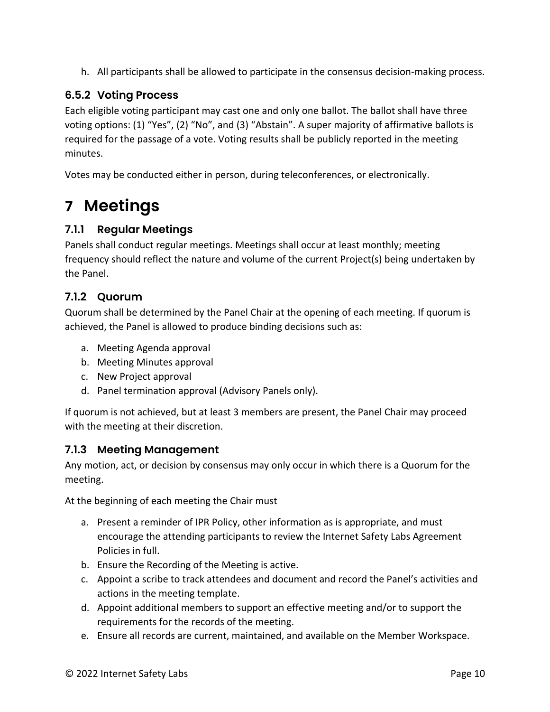h. All participants shall be allowed to participate in the consensus decision-making process.

### **6.5.2 Voting Process**

Each eligible voting participant may cast one and only one ballot. The ballot shall have three voting options: (1) "Yes", (2) "No", and (3) "Abstain". A super majority of affirmative ballots is required for the passage of a vote. Voting results shall be publicly reported in the meeting minutes.

Votes may be conducted either in person, during teleconferences, or electronically.

## **7 Meetings**

### **7.1.1 Regular Meetings**

Panels shall conduct regular meetings. Meetings shall occur at least monthly; meeting frequency should reflect the nature and volume of the current Project(s) being undertaken by the Panel.

#### **7.1.2 Quorum**

Quorum shall be determined by the Panel Chair at the opening of each meeting. If quorum is achieved, the Panel is allowed to produce binding decisions such as:

- a. Meeting Agenda approval
- b. Meeting Minutes approval
- c. New Project approval
- d. Panel termination approval (Advisory Panels only).

If quorum is not achieved, but at least 3 members are present, the Panel Chair may proceed with the meeting at their discretion.

### **7.1.3 Meeting Management**

Any motion, act, or decision by consensus may only occur in which there is a Quorum for the meeting.

At the beginning of each meeting the Chair must

- a. Present a reminder of IPR Policy, other information as is appropriate, and must encourage the attending participants to review the Internet Safety Labs Agreement Policies in full.
- b. Ensure the Recording of the Meeting is active.
- c. Appoint a scribe to track attendees and document and record the Panel's activities and actions in the meeting template.
- d. Appoint additional members to support an effective meeting and/or to support the requirements for the records of the meeting.
- e. Ensure all records are current, maintained, and available on the Member Workspace.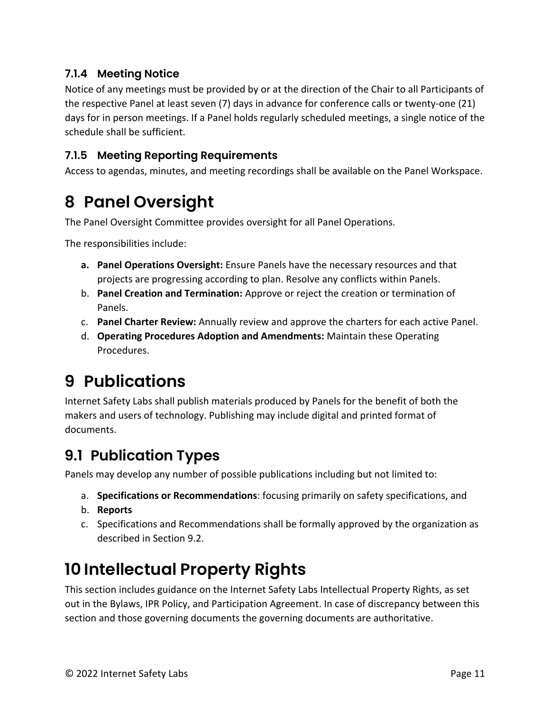### **7.1.4 Meeting Notice**

Notice of any meetings must be provided by or at the direction of the Chair to all Participants of the respective Panel at least seven (7) days in advance for conference calls or twenty-one (21) days for in person meetings. If a Panel holds regularly scheduled meetings, a single notice of the schedule shall be sufficient.

#### **7.1.5 Meeting Reporting Requirements**

Access to agendas, minutes, and meeting recordings shall be available on the Panel Workspace.

## **8 Panel Oversight**

The Panel Oversight Committee provides oversight for all Panel Operations.

The responsibilities include:

- **a. Panel Operations Oversight:** Ensure Panels have the necessary resources and that projects are progressing according to plan. Resolve any conflicts within Panels.
- b. **Panel Creation and Termination:** Approve or reject the creation or termination of Panels.
- c. **Panel Charter Review:** Annually review and approve the charters for each active Panel.
- d. **Operating Procedures Adoption and Amendments:** Maintain these Operating Procedures.

## **9 Publications**

Internet Safety Labs shall publish materials produced by Panels for the benefit of both the makers and users of technology. Publishing may include digital and printed format of documents.

### **9.1 Publication Types**

Panels may develop any number of possible publications including but not limited to:

- a. **Specifications or Recommendations**: focusing primarily on safety specifications, and
- b. **Reports**
- c. Specifications and Recommendations shall be formally approved by the organization as described in Section 9.2.

## **10 Intellectual Property Rights**

This section includes guidance on the Internet Safety Labs Intellectual Property Rights, as set out in the Bylaws, IPR Policy, and Participation Agreement. In case of discrepancy between this section and those governing documents the governing documents are authoritative.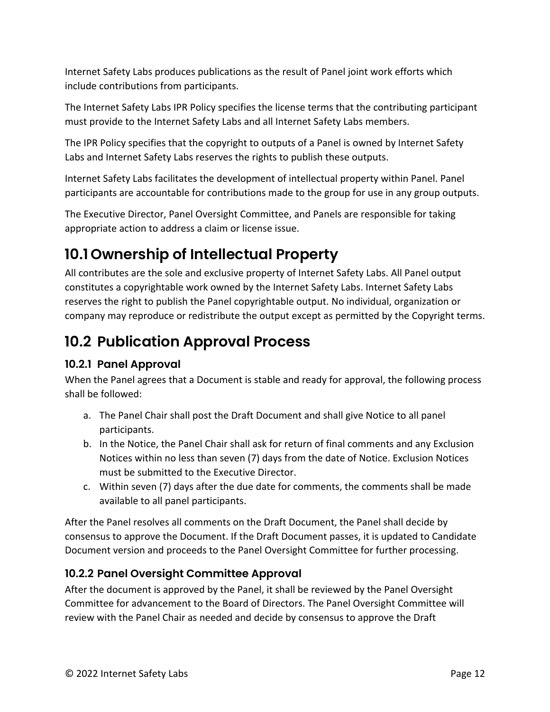Internet Safety Labs produces publications as the result of Panel joint work efforts which include contributions from participants.

The Internet Safety Labs IPR Policy specifies the license terms that the contributing participant must provide to the Internet Safety Labs and all Internet Safety Labs members.

The IPR Policy specifies that the copyright to outputs of a Panel is owned by Internet Safety Labs and Internet Safety Labs reserves the rights to publish these outputs.

Internet Safety Labs facilitates the development of intellectual property within Panel. Panel participants are accountable for contributions made to the group for use in any group outputs.

The Executive Director, Panel Oversight Committee, and Panels are responsible for taking appropriate action to address a claim or license issue.

### **10.1 Ownership of Intellectual Property**

All contributes are the sole and exclusive property of Internet Safety Labs. All Panel output constitutes a copyrightable work owned by the Internet Safety Labs. Internet Safety Labs reserves the right to publish the Panel copyrightable output. No individual, organization or company may reproduce or redistribute the output except as permitted by the Copyright terms.

### **10.2 Publication Approval Process**

### **10.2.1 Panel Approval**

When the Panel agrees that a Document is stable and ready for approval, the following process shall be followed:

- a. The Panel Chair shall post the Draft Document and shall give Notice to all panel participants.
- b. In the Notice, the Panel Chair shall ask for return of final comments and any Exclusion Notices within no less than seven (7) days from the date of Notice. Exclusion Notices must be submitted to the Executive Director.
- c. Within seven (7) days after the due date for comments, the comments shall be made available to all panel participants.

After the Panel resolves all comments on the Draft Document, the Panel shall decide by consensus to approve the Document. If the Draft Document passes, it is updated to Candidate Document version and proceeds to the Panel Oversight Committee for further processing.

### **10.2.2 Panel Oversight Committee Approval**

After the document is approved by the Panel, it shall be reviewed by the Panel Oversight Committee for advancement to the Board of Directors. The Panel Oversight Committee will review with the Panel Chair as needed and decide by consensus to approve the Draft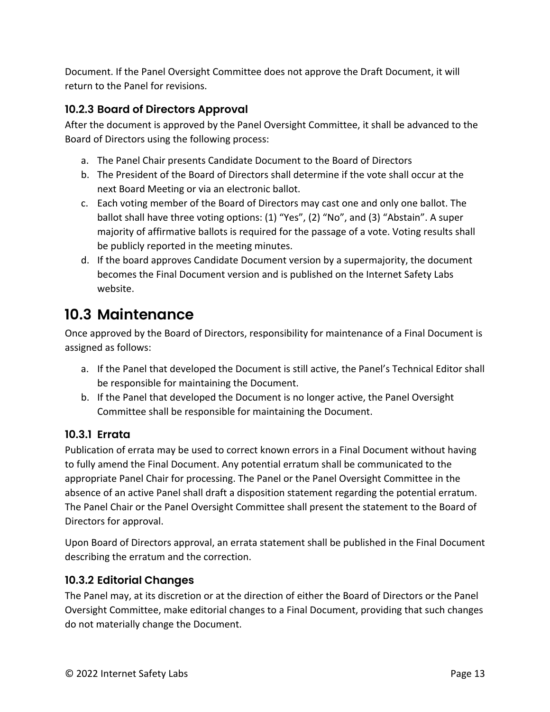Document. If the Panel Oversight Committee does not approve the Draft Document, it will return to the Panel for revisions.

### **10.2.3 Board of Directors Approval**

After the document is approved by the Panel Oversight Committee, it shall be advanced to the Board of Directors using the following process:

- a. The Panel Chair presents Candidate Document to the Board of Directors
- b. The President of the Board of Directors shall determine if the vote shall occur at the next Board Meeting or via an electronic ballot.
- c. Each voting member of the Board of Directors may cast one and only one ballot. The ballot shall have three voting options: (1) "Yes", (2) "No", and (3) "Abstain". A super majority of affirmative ballots is required for the passage of a vote. Voting results shall be publicly reported in the meeting minutes.
- d. If the board approves Candidate Document version by a supermajority, the document becomes the Final Document version and is published on the Internet Safety Labs website.

### **10.3 Maintenance**

Once approved by the Board of Directors, responsibility for maintenance of a Final Document is assigned as follows:

- a. If the Panel that developed the Document is still active, the Panel's Technical Editor shall be responsible for maintaining the Document.
- b. If the Panel that developed the Document is no longer active, the Panel Oversight Committee shall be responsible for maintaining the Document.

### **10.3.1 Errata**

Publication of errata may be used to correct known errors in a Final Document without having to fully amend the Final Document. Any potential erratum shall be communicated to the appropriate Panel Chair for processing. The Panel or the Panel Oversight Committee in the absence of an active Panel shall draft a disposition statement regarding the potential erratum. The Panel Chair or the Panel Oversight Committee shall present the statement to the Board of Directors for approval.

Upon Board of Directors approval, an errata statement shall be published in the Final Document describing the erratum and the correction.

### **10.3.2 Editorial Changes**

The Panel may, at its discretion or at the direction of either the Board of Directors or the Panel Oversight Committee, make editorial changes to a Final Document, providing that such changes do not materially change the Document.